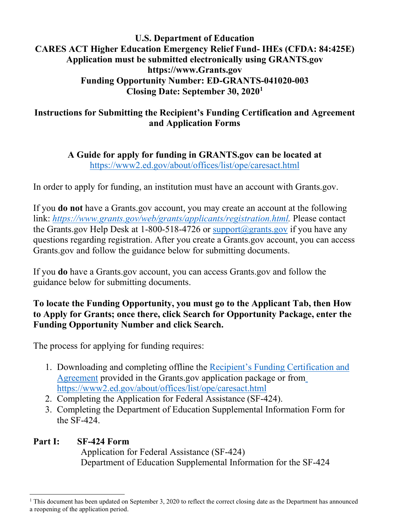#### **U.S. Department of Education CARES ACT Higher Education Emergency Relief Fund- IHEs (CFDA: 84:425E) Application must be submitted electronically using GRANTS.gov https:/[/www.Grants.gov](http://www.grants.gov/) Funding Opportunity Number: ED-GRANTS-041020-003 Closing Date: September 30, 2020[1](#page-0-0)**

### **Instructions for Submitting the Recipient's Funding Certification and Agreement and Application Forms**

**A Guide for apply for funding in GRANTS.gov can be located at** <https://www2.ed.gov/about/offices/list/ope/caresact.html>

In order to apply for funding, an institution must have an account with Grants.gov.

If you **do not** have a Grants.gov account, you may create an account at the following link: *[https://www.grants.gov/web/grants/applicants/registration.html.](https://www.grants.gov/web/grants/applicants/registration.html)* Please contact the Grants.gov Help Desk at 1-800-518-4726 or [support@grants.gov](mailto:support@grants.gov) if you have any questions regarding registration. After you create a Grants.gov account, you can access Grants.gov and follow the guidance below for submitting documents.

If you **do** have a Grants.gov account, you can access Grants.gov and follow the guidance below for submitting documents.

### **To locate the Funding Opportunity, you must go to the Applicant Tab, then How to Apply for Grants; once there, click Search for Opportunity Package, enter the Funding Opportunity Number and click Search.**

The process for applying for funding requires:

- 1. Downloading and completing offline the [Recipient's Funding Certification and](https://www2.ed.gov/about/offices/list/ope/caresheerfcertificationandagreementfinalombapprovedforissuance.pdf) [Agreement](https://www2.ed.gov/about/offices/list/ope/caresheerfcertificationandagreementfinalombapprovedforissuance.pdf) provided in the Grants.gov application package or fro[m](https://www2.ed.gov/about/offices/list/ope/caresact.html) <https://www2.ed.gov/about/offices/list/ope/caresact.html>
- 2. Completing the Application for Federal Assistance (SF-424).
- 3. Completing the Department of Education Supplemental Information Form for the SF-424.

# **Part I: SF-424 Form**

Application for Federal Assistance (SF-424) Department of Education Supplemental Information for the SF-424

<span id="page-0-0"></span> $1$  This document has been updated on September 3, 2020 to reflect the correct closing date as the Department has announced a reopening of the application period.